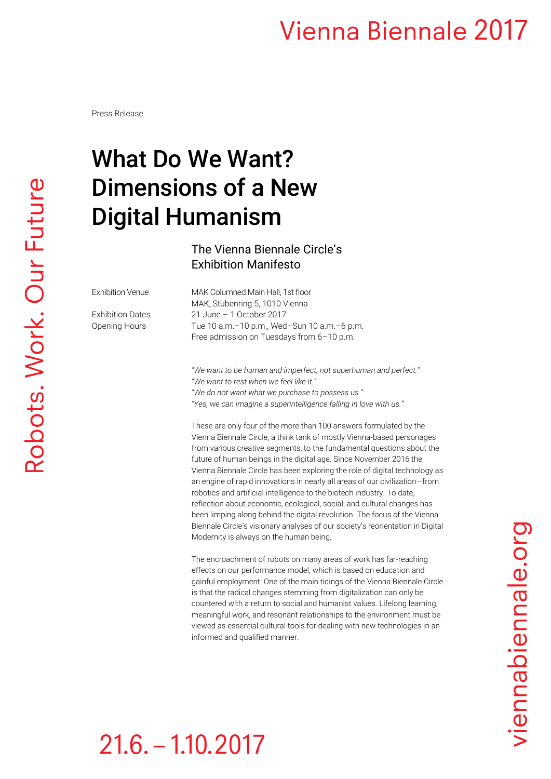### **Vienna Biennale 2017**

Press Release

# What Do We Want? Dimensions of a New Digital Humanism

#### The Vienna Biennale Circle's Exhibition Manifesto

Exhibition Venue MAK Columned Main Hall, 1st floor MAK, Stubenring 5, 1010 Vienna Exhibition Dates 21 June – 1 October 2017 Opening Hours Tue 10 a.m.–10 p.m., Wed–Sun 10 a.m.–6 p.m. Free admission on Tuesdays from 6–10 p.m.

> *"We want to be human and imperfect, not superhuman and perfect." "We want to rest when we feel like it." "We do not want what we purchase to possess us." "Yes, we can imagine a superintelligence falling in love with us."*

These are only four of the more than 100 answers formulated by the Vienna Biennale Circle, a think tank of mostly Vienna-based personages from various creative segments, to the fundamental questions about the future of human beings in the digital age. Since November 2016 the Vienna Biennale Circle has been exploring the role of digital technology as an engine of rapid innovations in nearly all areas of our civilization—from robotics and artificial intelligence to the biotech industry. To date, reflection about economic, ecological, social, and cultural changes has been limping along behind the digital revolution. The focus of the Vienna Biennale Circle's visionary analyses of our society's reorientation in Digital Modernity is always on the human being.

The encroachment of robots on many areas of work has far-reaching effects on our performance model, which is based on education and gainful employment. One of the main tidings of the Vienna Biennale Circle is that the radical changes stemming from digitalization can only be countered with a return to social and humanist values. Lifelong learning, meaningful work, and resonant relationships to the environment must be viewed as essential cultural tools for dealing with new technologies in an informed and qualified manner.

# viennabiennale.org

# $21.6 - 1.10.2017$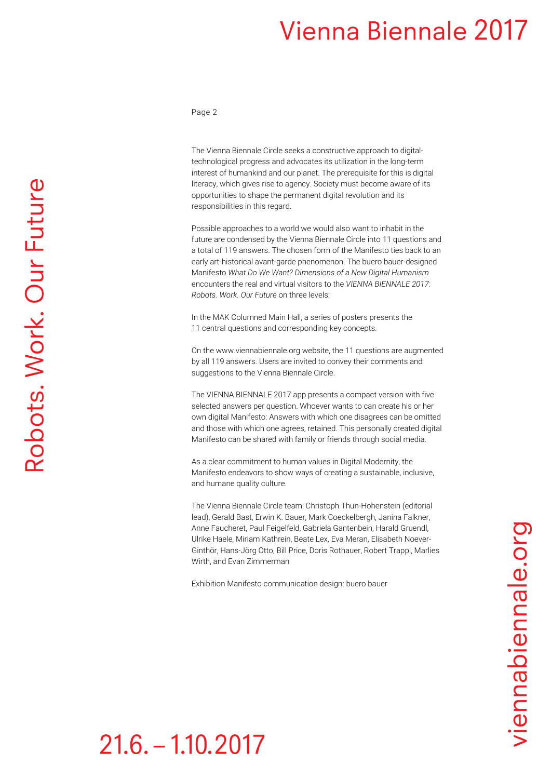### **Vienna Biennale 2017**

Page 2

The Vienna Biennale Circle seeks a constructive approach to digitaltechnological progress and advocates its utilization in the long-term interest of humankind and our planet. The prerequisite for this is digital literacy, which gives rise to agency. Society must become aware of its opportunities to shape the permanent digital revolution and its responsibilities in this regard.

Possible approaches to a world we would also want to inhabit in the future are condensed by the Vienna Biennale Circle into 11 questions and a total of 119 answers. The chosen form of the Manifesto ties back to an early art-historical avant-garde phenomenon. The buero bauer-designed Manifesto *What Do We Want? Dimensions of a New Digital Humanism* encounters the real and virtual visitors to the *VIENNA BIENNALE 2017: Robots. Work. Our Future* on three levels:

In the MAK Columned Main Hall, a series of posters presents the 11 central questions and corresponding key concepts.

On th[e www.viennabiennale.org](http://www.viennabiennale.org/en/) website, the 11 questions are augmented by all 119 answers. Users are invited to convey their comments and suggestions to the Vienna Biennale Circle.

The VIENNA BIENNALE 2017 app presents a compact version with five selected answers per question. Whoever wants to can create his or her own digital Manifesto: Answers with which one disagrees can be omitted and those with which one agrees, retained. This personally created digital Manifesto can be shared with family or friends through social media.

As a clear commitment to human values in Digital Modernity, the Manifesto endeavors to show ways of creating a sustainable, inclusive, and humane quality culture.

The Vienna Biennale Circle team: Christoph Thun-Hohenstein (editorial lead), Gerald Bast, Erwin K. Bauer, Mark Coeckelbergh, Janina Falkner, Anne Faucheret, Paul Feigelfeld, Gabriela Gantenbein, Harald Gruendl, Ulrike Haele, Miriam Kathrein, Beate Lex, Eva Meran, Elisabeth Noever-Ginthör, Hans-Jörg Otto, Bill Price, Doris Rothauer, Robert Trappl, Marlies Wirth, and Evan Zimmerman

Exhibition Manifesto communication design: buero bauer

# $21.6 - 1.10.2017$